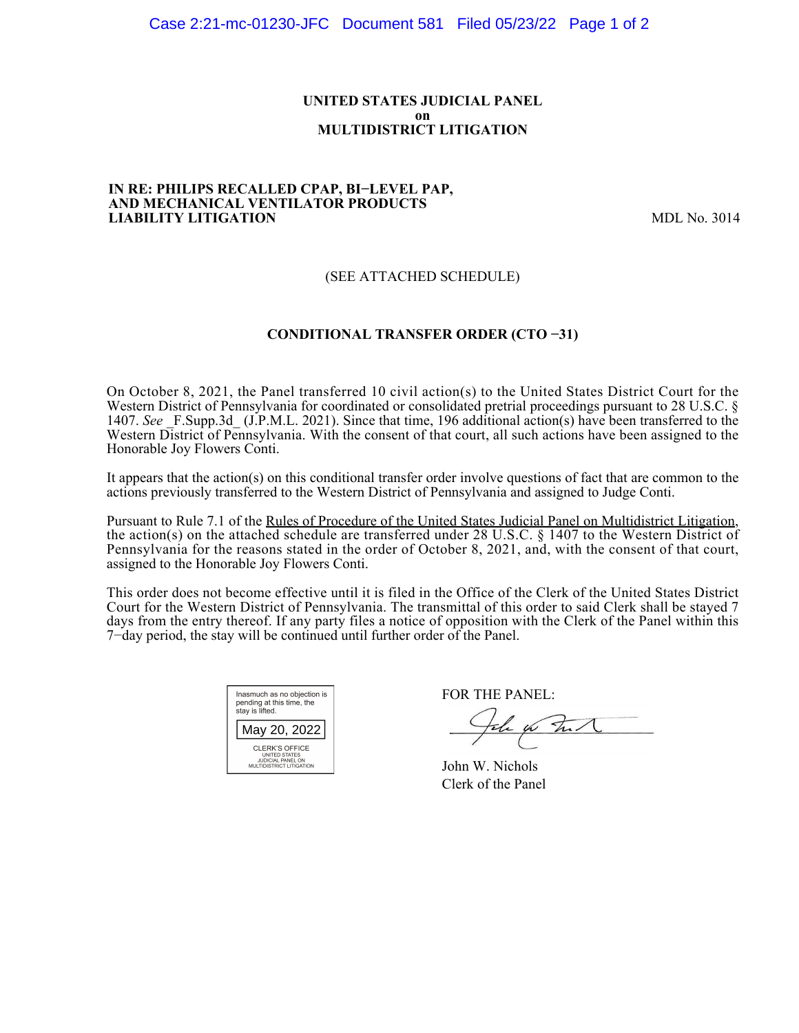### **UNITED STATES JUDICIAL PANEL on MULTIDISTRICT LITIGATION**

### **IN RE: PHILIPS RECALLED CPAP, BI−LEVEL PAP, AND MECHANICAL VENTILATOR PRODUCTS LIABILITY LITIGATION** MDL No. 3014

## (SEE ATTACHED SCHEDULE)

## **CONDITIONAL TRANSFER ORDER (CTO −31)**

On October 8, 2021, the Panel transferred 10 civil action(s) to the United States District Court for the Western District of Pennsylvania for coordinated or consolidated pretrial proceedings pursuant to 28 U.S.C. § 1407. See F.Supp.3d (J.P.M.L. 2021). Since that time, 196 additional action(s) have been transferred to the Western District of Pennsylvania. With the consent of that court, all such actions have been assigned to the Honorable Joy Flowers Conti.

It appears that the action(s) on this conditional transfer order involve questions of fact that are common to the actions previously transferred to the Western District of Pennsylvania and assigned to Judge Conti.

Pursuant to Rule 7.1 of the Rules of Procedure of the United States Judicial Panel on Multidistrict Litigation, the action(s) on the attached schedule are transferred under 28 U.S.C. § 1407 to the Western District of Pennsylvania for the reasons stated in the order of October 8, 2021, and, with the consent of that court, assigned to the Honorable Joy Flowers Conti.

This order does not become effective until it is filed in the Office of the Clerk of the United States District Court for the Western District of Pennsylvania. The transmittal of this order to said Clerk shall be stayed 7 days from the entry thereof. If any party files a notice of opposition with the Clerk of the Panel within this 7−day period, the stay will be continued until further order of the Panel.

| Inasmuch as no objection is<br>pending at this time, the<br>stay is lifted.                           |  |  |  |  |
|-------------------------------------------------------------------------------------------------------|--|--|--|--|
| May 20, 2022                                                                                          |  |  |  |  |
| <b>CLERK'S OFFICE</b><br><b>UNITED STATES</b><br><b>JUDICIAL PANEL ON</b><br>MULTIDISTRICT LITIGATION |  |  |  |  |

FOR THE PANEL:

John for The N

John W. Nichols Clerk of the Panel